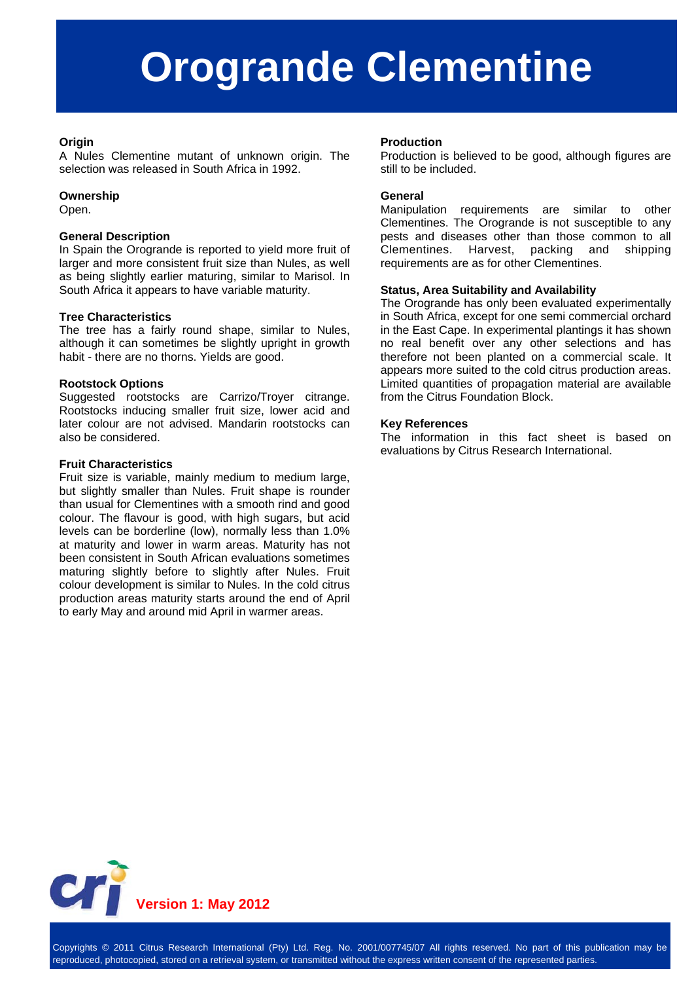# **Orogrande Clementine**

# **Origin**

A Nules Clementine mutant of unknown origin. The selection was released in South Africa in 1992.

# **Ownership**

Open.

# **General Description**

In Spain the Orogrande is reported to yield more fruit of larger and more consistent fruit size than Nules, as well as being slightly earlier maturing, similar to Marisol. In South Africa it appears to have variable maturity.

# **Tree Characteristics**

The tree has a fairly round shape, similar to Nules, although it can sometimes be slightly upright in growth habit - there are no thorns. Yields are good.

### **Rootstock Options**

Suggested rootstocks are Carrizo/Troyer citrange. Rootstocks inducing smaller fruit size, lower acid and later colour are not advised. Mandarin rootstocks can also be considered.

### **Fruit Characteristics**

Fruit size is variable, mainly medium to medium large, but slightly smaller than Nules. Fruit shape is rounder than usual for Clementines with a smooth rind and good colour. The flavour is good, with high sugars, but acid levels can be borderline (low), normally less than 1.0% at maturity and lower in warm areas. Maturity has not been consistent in South African evaluations sometimes maturing slightly before to slightly after Nules. Fruit colour development is similar to Nules. In the cold citrus production areas maturity starts around the end of April to early May and around mid April in warmer areas.

### **Production**

Production is believed to be good, although figures are still to be included.

### **General**

Manipulation requirements are similar to other Clementines. The Orogrande is not susceptible to any pests and diseases other than those common to all Clementines. Harvest, packing and shipping requirements are as for other Clementines.

# **Status, Area Suitability and Availability**

The Orogrande has only been evaluated experimentally in South Africa, except for one semi commercial orchard in the East Cape. In experimental plantings it has shown no real benefit over any other selections and has therefore not been planted on a commercial scale. It appears more suited to the cold citrus production areas. Limited quantities of propagation material are available from the Citrus Foundation Block.

### **Key References**

The information in this fact sheet is based on evaluations by Citrus Research International.